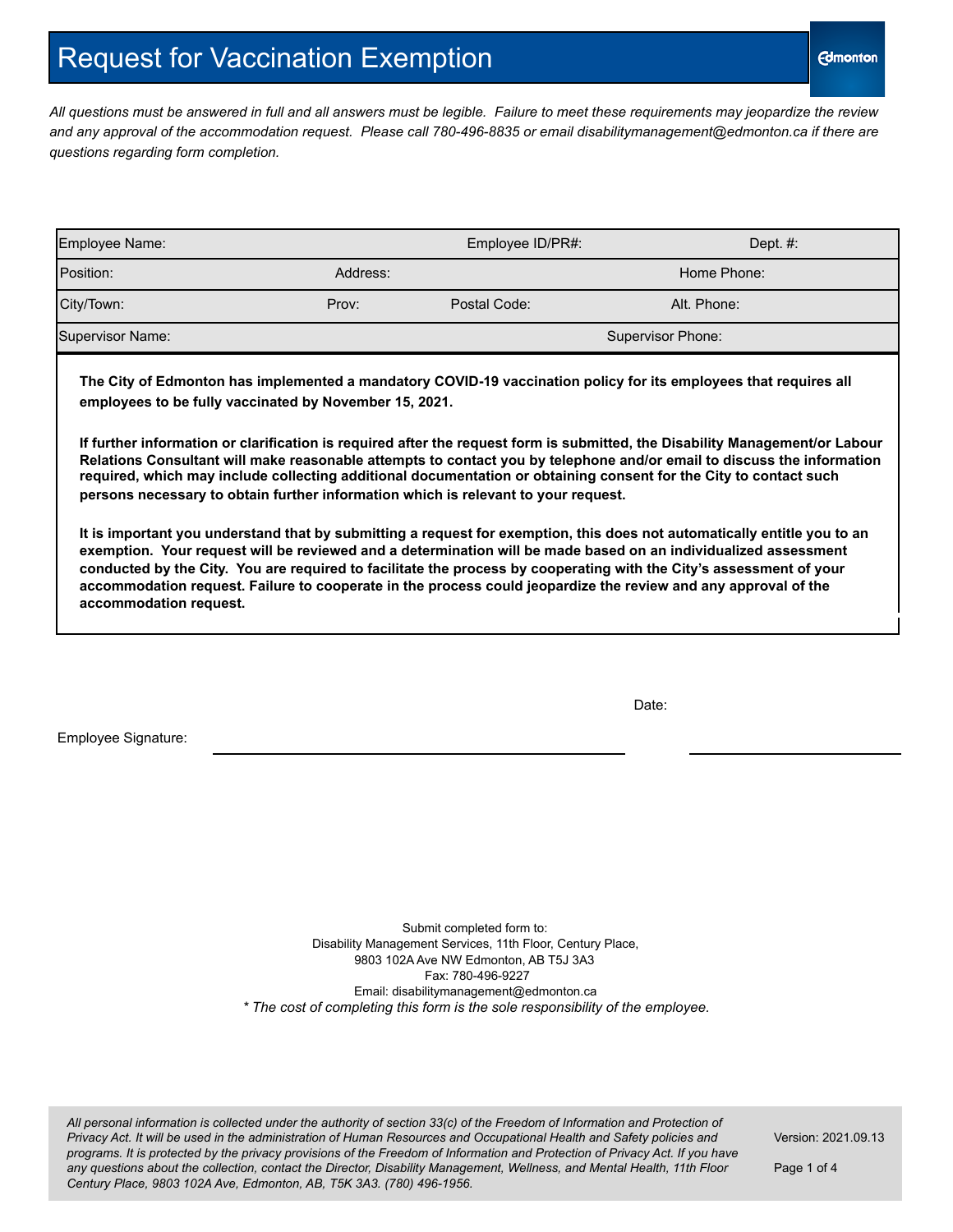## Request for Vaccination Exemption

*All questions must be answered in full and all answers must be legible. Failure to meet these requirements may jeopardize the review and any approval of the accommodation request. Please call 780-496-8835 or email disabilitymanagement@edmonton.ca if there are questions regarding form completion.*

| Employee Name:   |          | Employee ID/PR#:  | Dept. $#$ : |  |
|------------------|----------|-------------------|-------------|--|
| Position:        | Address: |                   | Home Phone: |  |
| City/Town:       | Prov:    | Postal Code:      | Alt. Phone: |  |
| Supervisor Name: |          | Supervisor Phone: |             |  |

**The City of Edmonton has implemented a mandatory COVID-19 vaccination policy for its employees that requires all employees to be fully vaccinated by November 15, 2021.**

**If further information or clarification is required after the request form is submitted, the Disability Management/or Labour Relations Consultant will make reasonable attempts to contact you by telephone and/or email to discuss the information required, which may include collecting additional documentation or obtaining consent for the City to contact such persons necessary to obtain further information which is relevant to your request.**

**It is important you understand that by submitting a request for exemption, this does not automatically entitle you to an exemption. Your request will be reviewed and a determination will be made based on an individualized assessment conducted by the City. You are required to facilitate the process by cooperating with the City's assessment of your accommodation request. Failure to cooperate in the process could jeopardize the review and any approval of the accommodation request.**

Date:

Employee Signature:

Submit completed form to: Disability Management Services, 11th Floor, Century Place, 9803 102A Ave NW Edmonton, AB T5J 3A3 Fax: 780-496-9227 Email: [disabilitymanagement@edmonton.c](mailto:hr-disabilitymanagement@edmonton.ca)a *\* The cost of completing this form is the sole responsibility of the employee.*

All personal information is collected under the authority of section 33(c) of the Freedom of Information and Protection of Privacy Act. It will be used in the administration of Human Resources and Occupational Health and Safety policies and programs. It is protected by the privacy provisions of the Freedom of Information and Protection of Privacy Act. If you have any questions about the collection, contact the Director, Disability Management, Wellness, and Mental Health, 11th Floor *Century Place, 9803 102A Ave, Edmonton, AB, T5K 3A3. (780) 496-1956.*

Version: 2021.09.13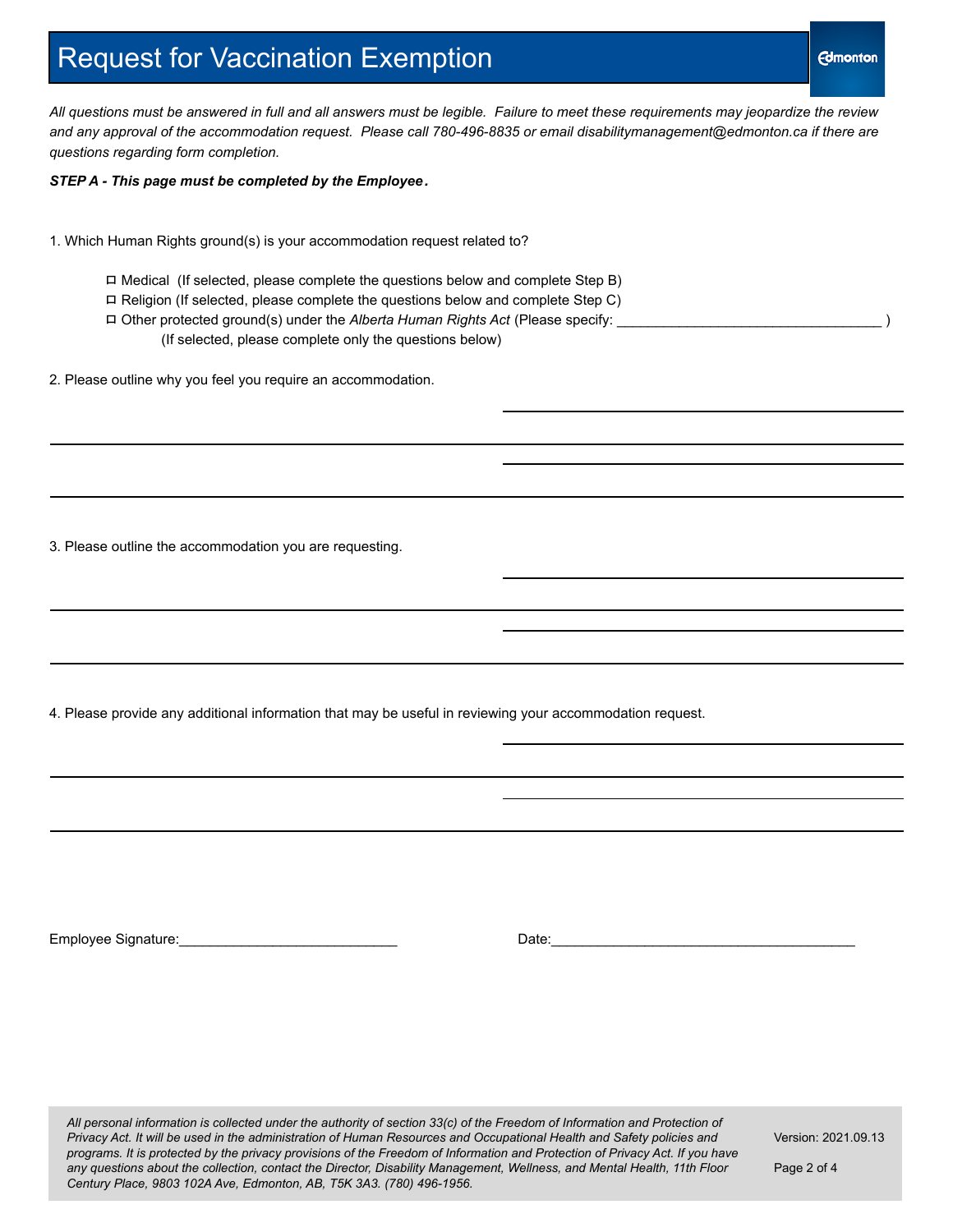#### **Edmonton**

### Request for Vaccination Exemption

*All questions must be answered in full and all answers must be legible. Failure to meet these requirements may jeopardize the review and any approval of the accommodation request. Please call 780-496-8835 or email disabilitymanagement@edmonton.ca if there are questions regarding form completion.*

*STEP A - This page must be completed by the Employee.*

1. Which Human Rights ground(s) is your accommodation request related to?

ロ Medical (If selected, please complete the questions below and complete Step B) ロ Religion (If selected, please complete the questions below and complete Step C) ロ Other protected ground(s) under the *Alberta Human Rights Act* (Please specify: \_\_\_\_\_\_\_\_\_\_\_\_\_\_\_\_\_\_\_\_\_\_\_\_\_\_\_\_\_\_\_\_\_\_ ) (If selected, please complete only the questions below)

2. Please outline why you feel you require an accommodation.

3. Please outline the accommodation you are requesting.

4. Please provide any additional information that may be useful in reviewing your accommodation request.

Employee Signature:\_\_\_\_\_\_\_\_\_\_\_\_\_\_\_\_\_\_\_\_\_\_\_\_\_\_\_\_ Date:\_\_\_\_\_\_\_\_\_\_\_\_\_\_\_\_\_\_\_\_\_\_\_\_\_\_\_\_\_\_\_\_\_\_\_\_\_\_\_

All personal information is collected under the authority of section 33(c) of the Freedom of Information and Protection of Privacy Act. It will be used in the administration of Human Resources and Occupational Health and Safety policies and programs. It is protected by the privacy provisions of the Freedom of Information and Protection of Privacy Act. If you have any questions about the collection, contact the Director, Disability Management, Wellness, and Mental Health, 11th Floor *Century Place, 9803 102A Ave, Edmonton, AB, T5K 3A3. (780) 496-1956.*

Version: 2021.09.13

Page 2 of 4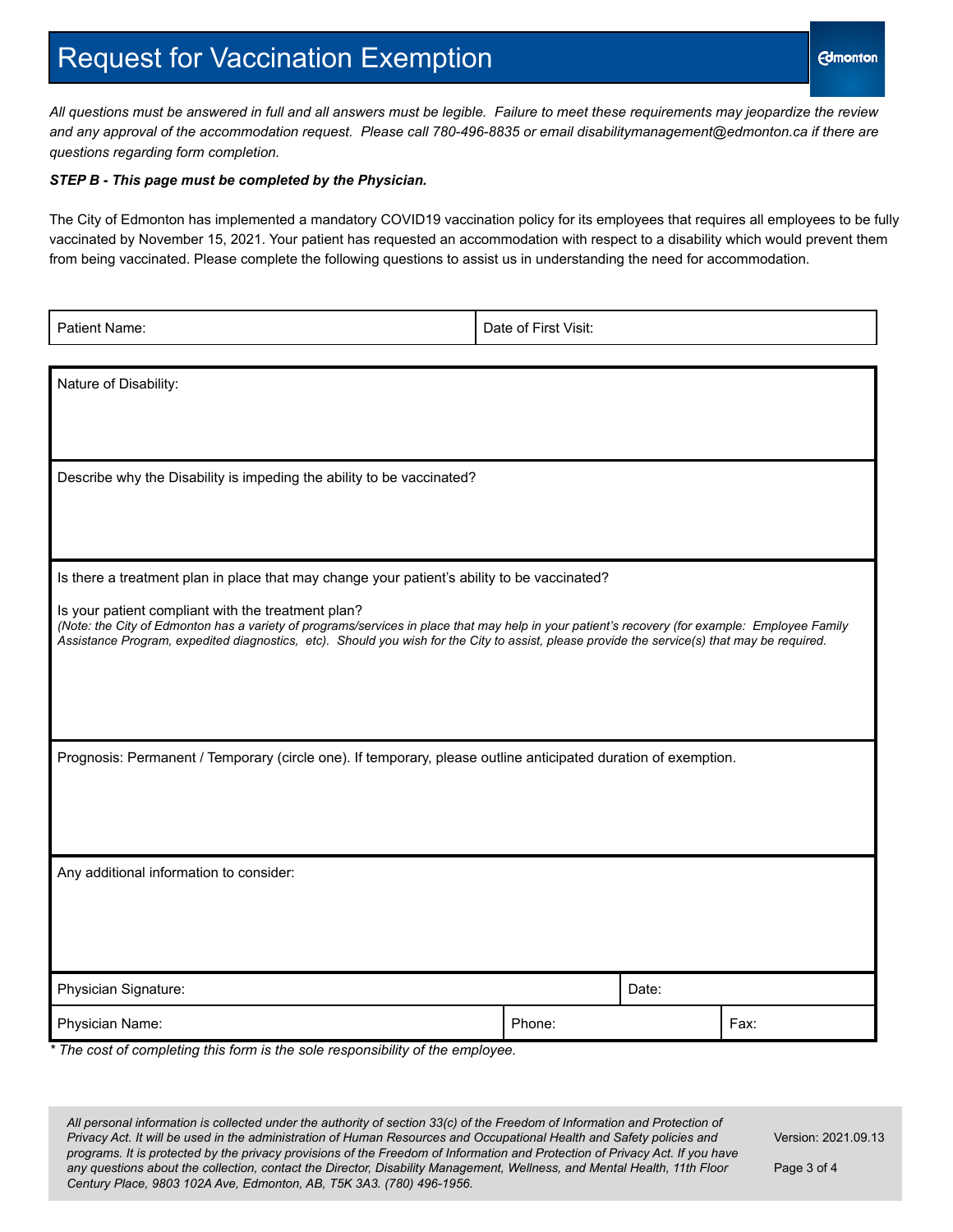## Request for Vaccination Exemption

*All questions must be answered in full and all answers must be legible. Failure to meet these requirements may jeopardize the review and any approval of the accommodation request. Please call 780-496-8835 or email disabilitymanagement@edmonton.ca if there are questions regarding form completion.*

#### *STEP B - This page must be completed by the Physician.*

The City of Edmonton has implemented a mandatory COVID19 vaccination policy for its employees that requires all employees to be fully vaccinated by November 15, 2021. Your patient has requested an accommodation with respect to a disability which would prevent them from being vaccinated. Please complete the following questions to assist us in understanding the need for accommodation.

| Patient Name:                                                                                                                                                                                                                                                                                                                                                                                                                                       | Date of First Visit: |       |      |  |  |
|-----------------------------------------------------------------------------------------------------------------------------------------------------------------------------------------------------------------------------------------------------------------------------------------------------------------------------------------------------------------------------------------------------------------------------------------------------|----------------------|-------|------|--|--|
| Nature of Disability:                                                                                                                                                                                                                                                                                                                                                                                                                               |                      |       |      |  |  |
| Describe why the Disability is impeding the ability to be vaccinated?                                                                                                                                                                                                                                                                                                                                                                               |                      |       |      |  |  |
| Is there a treatment plan in place that may change your patient's ability to be vaccinated?<br>Is your patient compliant with the treatment plan?<br>(Note: the City of Edmonton has a variety of programs/services in place that may help in your patient's recovery (for example: Employee Family<br>Assistance Program, expedited diagnostics, etc). Should you wish for the City to assist, please provide the service(s) that may be required. |                      |       |      |  |  |
| Prognosis: Permanent / Temporary (circle one). If temporary, please outline anticipated duration of exemption.                                                                                                                                                                                                                                                                                                                                      |                      |       |      |  |  |
| Any additional information to consider:                                                                                                                                                                                                                                                                                                                                                                                                             |                      |       |      |  |  |
| Physician Signature:                                                                                                                                                                                                                                                                                                                                                                                                                                |                      | Date: |      |  |  |
| Physician Name:<br>Phone:<br>* The cost of completing this form is the sole responsibility of the employee.                                                                                                                                                                                                                                                                                                                                         |                      |       | Fax: |  |  |

All personal information is collected under the authority of section 33(c) of the Freedom of Information and Protection of Privacy Act. It will be used in the administration of Human Resources and Occupational Health and Safety policies and programs. It is protected by the privacy provisions of the Freedom of Information and Protection of Privacy Act. If you have any questions about the collection, contact the Director, Disability Management, Wellness, and Mental Health, 11th Floor *Century Place, 9803 102A Ave, Edmonton, AB, T5K 3A3. (780) 496-1956.*

Version: 2021.09.13